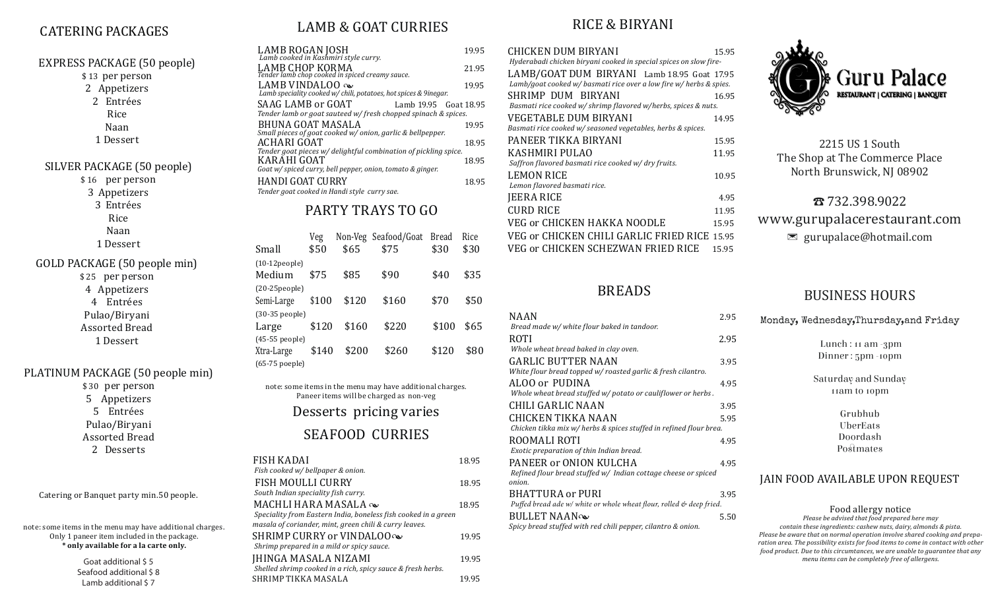# CATERING PACKAGES CATERING PACKAGES

| EXPRESS PACKAGE (50 people)<br>\$13 per person<br>2 Appetizers<br>2 Entrées<br>Rice<br>Naan<br>1 Dessert<br>SILVER PACKAGE (50 people)<br>\$16 per person | LAMB ROGAN JOSH<br>Lamb cooked in Kashmiri style curry.<br>LAMB CHOP KORMA<br>Tender lamb chop cooked in spiced creamy sauce.<br>LAMB VINDALOO<br>Lamb speciality cooked w/ chili, potatoes, hot spice<br>SAAG LAMB or GOAT<br>Lam<br>Tender lamb or goat sauteed w/fresh chopped<br>BHUNA GOAT MASALA<br>Small pieces of goat cooked w/ onion, garlic & l<br>ACHARI GOAT<br>Tender goat pieces w/ delightful combination o<br>KARAHI GOAT<br>Goat w/ spiced curry, bell pepper, onion, tomato |
|-----------------------------------------------------------------------------------------------------------------------------------------------------------|------------------------------------------------------------------------------------------------------------------------------------------------------------------------------------------------------------------------------------------------------------------------------------------------------------------------------------------------------------------------------------------------------------------------------------------------------------------------------------------------|
| 3 Appetizers                                                                                                                                              | <b>HANDI GOAT CURRY</b><br>Tender goat cooked in Handi style curry sae.                                                                                                                                                                                                                                                                                                                                                                                                                        |
| 3 Entrées<br>Rice                                                                                                                                         | PARTY TRAYS TO                                                                                                                                                                                                                                                                                                                                                                                                                                                                                 |
| Naan<br>1 Dessert                                                                                                                                         | Non-Veg Seafood/G<br>Veg<br>Small<br>\$50<br>\$65<br>\$75                                                                                                                                                                                                                                                                                                                                                                                                                                      |
| GOLD PACKAGE (50 people min)<br>\$25 per person<br>4 Appetizers                                                                                           | $(10-12)$ eople $)$<br>Medium<br>\$90<br>\$75<br>\$85<br>$(20-25)$ eople $)$                                                                                                                                                                                                                                                                                                                                                                                                                   |
| 4 Entrées<br>Pulao/Biryani                                                                                                                                | \$120<br>\$160<br>Semi-Large<br>\$100<br>(30-35 people)                                                                                                                                                                                                                                                                                                                                                                                                                                        |
| <b>Assorted Bread</b><br>1 Dessert                                                                                                                        | \$160<br>\$220<br>\$120<br>Large<br>(45-55 people)<br>Xtra-Large<br>\$200<br>\$260<br>\$140                                                                                                                                                                                                                                                                                                                                                                                                    |
| PLATINUM PACKAGE (50 people min)<br>\$30 per person<br>5 Appetizers<br>5 Entrées<br>Pulao/Biryani<br><b>Assorted Bread</b><br>2 Desserts                  | (65-75 poeple)<br>note: some items in the menu may have ado<br>Paneer items will be charged as r<br>Desserts pricing va<br><b>SEAFOOD CURRI</b>                                                                                                                                                                                                                                                                                                                                                |
|                                                                                                                                                           | <b>FISH KADAI</b><br>Fish cooked w/ bellpaper & onion.<br><b>TICU MOULLI CHDDV</b>                                                                                                                                                                                                                                                                                                                                                                                                             |

Catering or Banquet party min.50 people.

note: some items in the menu may have additional charges. Only 1 paneer item included in the package. **\* only available for a la carte only.**

> Goat additional \$ 5 Seafood additional \$8 Lamb additional \$ 7

## LAMB & GOAT CURRIES

| LAMB ROGAN JOSH<br>Lamb cooked in Kashmiri style curry.                                                     | 19.95 |
|-------------------------------------------------------------------------------------------------------------|-------|
| LAMB CHOP KORMA<br>Tender lamb chop cooked in spiced creamy sauce.                                          | 21.95 |
| LAMB VINDALOO $\infty$<br>Lamb speciality cooked w/ chili, potatoes, hot spices & 9inegar.                  | 19.95 |
| SAAG LAMB or GOAT<br>Lamb 19.95 Goat 18.95<br>Tender lamb or goat sauteed w/fresh chopped spinach & spices. |       |
| BHUNA GOAT MASALA<br>Small pieces of goat cooked w/ onion, garlic & bellpepper.                             | 19.95 |
| ACHARI GOAT<br>Tender goat pieces w/ delightful combination of pickling spice.                              | 18.95 |
| KARAHI GOAT<br>Goat w/ spiced curry, bell pepper, onion, tomato & ginger.                                   | 18.95 |
| HANDI GOAT CURRY<br>Tender goat cooked in Handi style curry sae.                                            | 18.95 |
|                                                                                                             |       |
|                                                                                                             |       |

### $0<sub>0</sub>$

|                     | Veg   |       | Non-Veg Seafood/Goat | <b>Bread</b> | Rice |
|---------------------|-------|-------|----------------------|--------------|------|
| Small               | \$50  | \$65  | \$75                 | \$30         | \$30 |
| $(10-12)$ eople $)$ |       |       |                      |              |      |
| Medium              | \$75  | \$85  | \$90                 | \$40         | \$35 |
| $(20-25)$           |       |       |                      |              |      |
| Semi-Large          | \$100 | \$120 | \$160                | \$70         | \$50 |
| $(30-35$ people)    |       |       |                      |              |      |
| Large               | \$120 | \$160 | \$220                | \$100        | \$65 |
| (45-55 people)      |       |       |                      |              |      |
| Xtra-Large          | \$140 | \$200 | \$260                | \$120        | \$80 |
| (65-75 poeple)      |       |       |                      |              |      |

lditional charges. non-veg raries

### **IES**

| FISH KADAI<br>Fish cooked w/ bellpaper & onion.                                                                                                | 18.95 |
|------------------------------------------------------------------------------------------------------------------------------------------------|-------|
| FISH MOULLI CURRY<br>South Indian speciality fish curry.                                                                                       | 18.95 |
| MACHLI HARA MASALA<br>Speciality from Eastern India, boneless fish cooked in a green<br>masala of coriander, mint, green chili & curry leaves. | 18.95 |
| SHRIMP CURRY or VINDALOO $\infty$<br>Shrimp prepared in a mild or spicy sauce.                                                                 | 19.95 |
| <b>JHINGA MASALA NIZAMI</b><br>Shelled shrimp cooked in a rich, spicy sauce & fresh herbs.                                                     | 19.95 |
| SHRIMP TIKKA MASALA                                                                                                                            | 1995  |

### RICE & BIRYANI

| CHICKEN DUM BIRYANI                                                                                               | 15.95 |
|-------------------------------------------------------------------------------------------------------------------|-------|
| Hyderabadi chicken biryani cooked in special spices on slow fire-                                                 |       |
| LAMB/GOAT DUM BIRYANI Lamb 18.95 Goat 17.95<br>Lamb/goat cooked w/ basmati rice over a low fire w/ herbs & spies. |       |
| SHRIMP DUM BIRYANI                                                                                                | 16.95 |
| Basmati rice cooked w/shrimp flavored w/herbs, spices & nuts.                                                     |       |
| VEGETABLE DUM BIRYANI                                                                                             | 14.95 |
| Basmati rice cooked w/ seasoned vegetables, herbs & spices.                                                       |       |
| PANEER TIKKA BIRYANI                                                                                              | 15.95 |
| KASHMIRI PULAO                                                                                                    | 11.95 |
| Saffron flavored basmati rice cooked w/ dry fruits.                                                               |       |
| <b>LEMON RICE</b>                                                                                                 | 10.95 |
| Lemon flavored basmati rice.                                                                                      |       |
| JEERA RICE                                                                                                        | 4.95  |
| CURD RICE                                                                                                         | 11.95 |
| VEG or CHICKEN HAKKA NOODLE                                                                                       | 15.95 |
| VEG or CHICKEN CHILI GARLIC FRIED RICE_15.95                                                                      |       |
| VEG or CHICKEN SCHEZWAN FRIED RICE                                                                                | 15.95 |

### BREADS

| NAAN                                                                 | 2.95 |
|----------------------------------------------------------------------|------|
| Bread made w/ white flour baked in tandoor.                          |      |
| ROTI                                                                 | 2.95 |
| Whole wheat bread baked in clay oven.                                |      |
| <b>GARLIC BUTTER NAAN</b>                                            | 3.95 |
| White flour bread topped w/ roasted garlic & fresh cilantro.         |      |
| ALOO or PUDINA                                                       | 4.95 |
| Whole wheat bread stuffed w/ potato or cauliflower or herbs.         |      |
| CHILI GARLIC NAAN                                                    | 3.95 |
| CHICKEN TIKKA NAAN                                                   | 5.95 |
| Chicken tikka mix w/ herbs & spices stuffed in refined flour brea.   |      |
| ROOMALI ROTI                                                         | 4.95 |
| Exotic preparation of thin Indian bread.                             |      |
| PANEER or ONION KULCHA                                               | 4.95 |
| Refined flour bread stuffed w/ Indian cottage cheese or spiced       |      |
| onion.                                                               |      |
| BHATTURA or PURI                                                     | 3.95 |
| Puffed bread ade w/ white or whole wheat flour, rolled & deep fried. |      |
| <b>BULLET NAAN</b>                                                   | 5.50 |
| Spicy bread stuffed with red chili pepper, cilantro & onion.         |      |



2215 US 1 South The Shop at The Commerce Place North Brunswick, NJ 08902

☎ 732.398.9022 www.gurupalacerestaurant.com  $\blacksquare$  gurupalace@hotmail.com

#### BUSINESS HOURS

| Monday, Wednesday, Thursday, and Friday |
|-----------------------------------------|
| Lunch : $11$ am $-3$ pm                 |
| Dinner: 5pm -10pm                       |
| Saturday and Sunday                     |
| 11am to 10pm                            |
| Grubhub                                 |
| UberEats                                |
| Doordash                                |
| Postmates                               |
| JAIN FOOD AVAILABLE UPON REQUEST        |

Food allergy notice *Please be advised that food prepared here may contain these ingredients: cashew nuts, dairy, almonds & pista. Please be aware that on normal operation involve shared cooking and preparation area. The possibility exists for food items to come in contact with other food product. Due to this circumtances, we are unable to guarantee that any menu items can be completely free of allergens.*